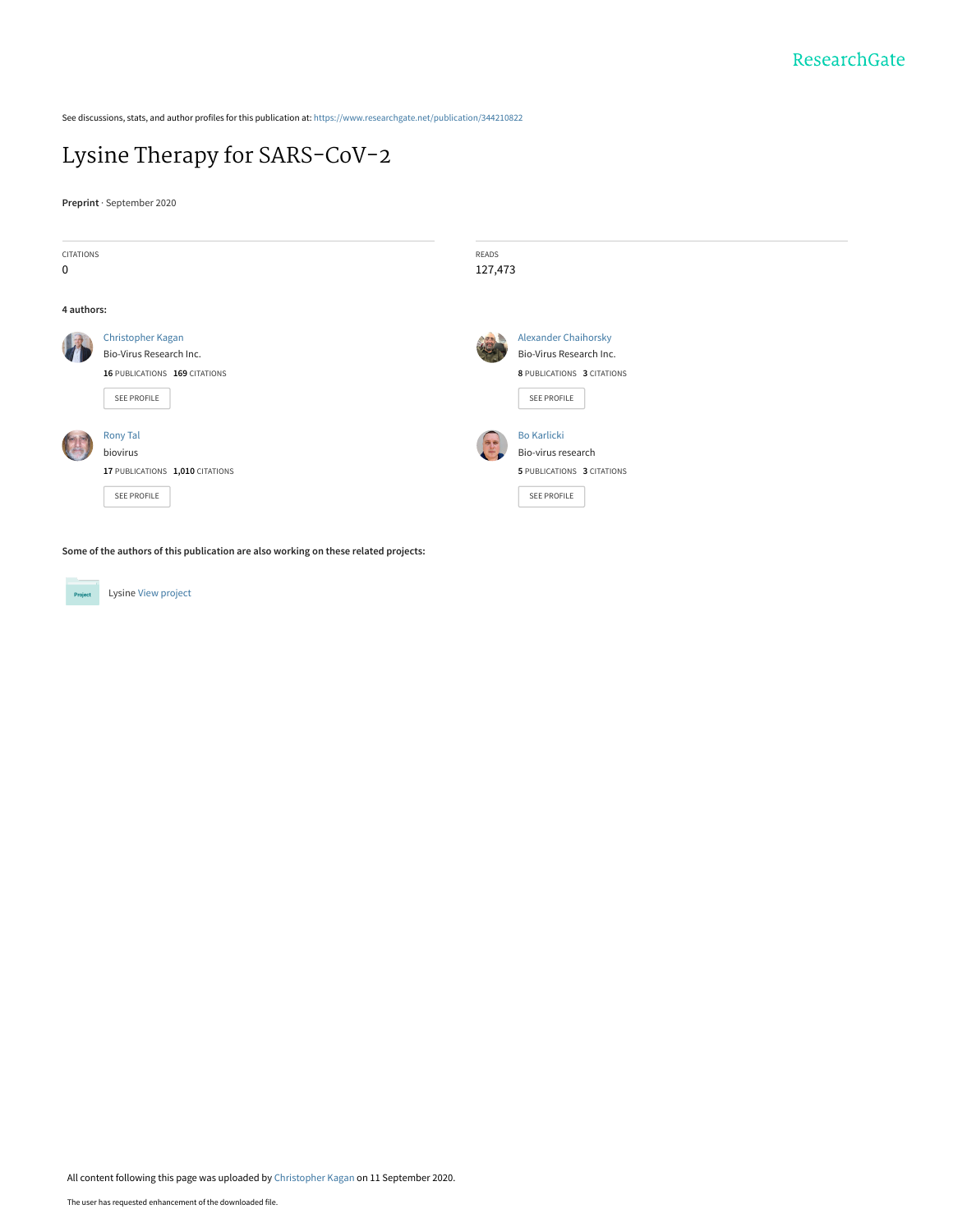See discussions, stats, and author profiles for this publication at: [https://www.researchgate.net/publication/344210822](https://www.researchgate.net/publication/344210822_Lysine_Therapy_for_SARS-CoV-2?enrichId=rgreq-5c891bfe64bf080ef04573ac1bb856c0-XXX&enrichSource=Y292ZXJQYWdlOzM0NDIxMDgyMjtBUzo5MzQ3MTEwNTY2NzA3MjBAMTU5OTg2Mzg5MDc5Ng%3D%3D&el=1_x_2&_esc=publicationCoverPdf)

## [Lysine Therapy for SARS-CoV-2](https://www.researchgate.net/publication/344210822_Lysine_Therapy_for_SARS-CoV-2?enrichId=rgreq-5c891bfe64bf080ef04573ac1bb856c0-XXX&enrichSource=Y292ZXJQYWdlOzM0NDIxMDgyMjtBUzo5MzQ3MTEwNTY2NzA3MjBAMTU5OTg2Mzg5MDc5Ng%3D%3D&el=1_x_3&_esc=publicationCoverPdf)

**Preprint** · September 2020



**Some of the authors of this publication are also working on these related projects:**

Project

Lysine [View project](https://www.researchgate.net/project/Lysine?enrichId=rgreq-5c891bfe64bf080ef04573ac1bb856c0-XXX&enrichSource=Y292ZXJQYWdlOzM0NDIxMDgyMjtBUzo5MzQ3MTEwNTY2NzA3MjBAMTU5OTg2Mzg5MDc5Ng%3D%3D&el=1_x_9&_esc=publicationCoverPdf)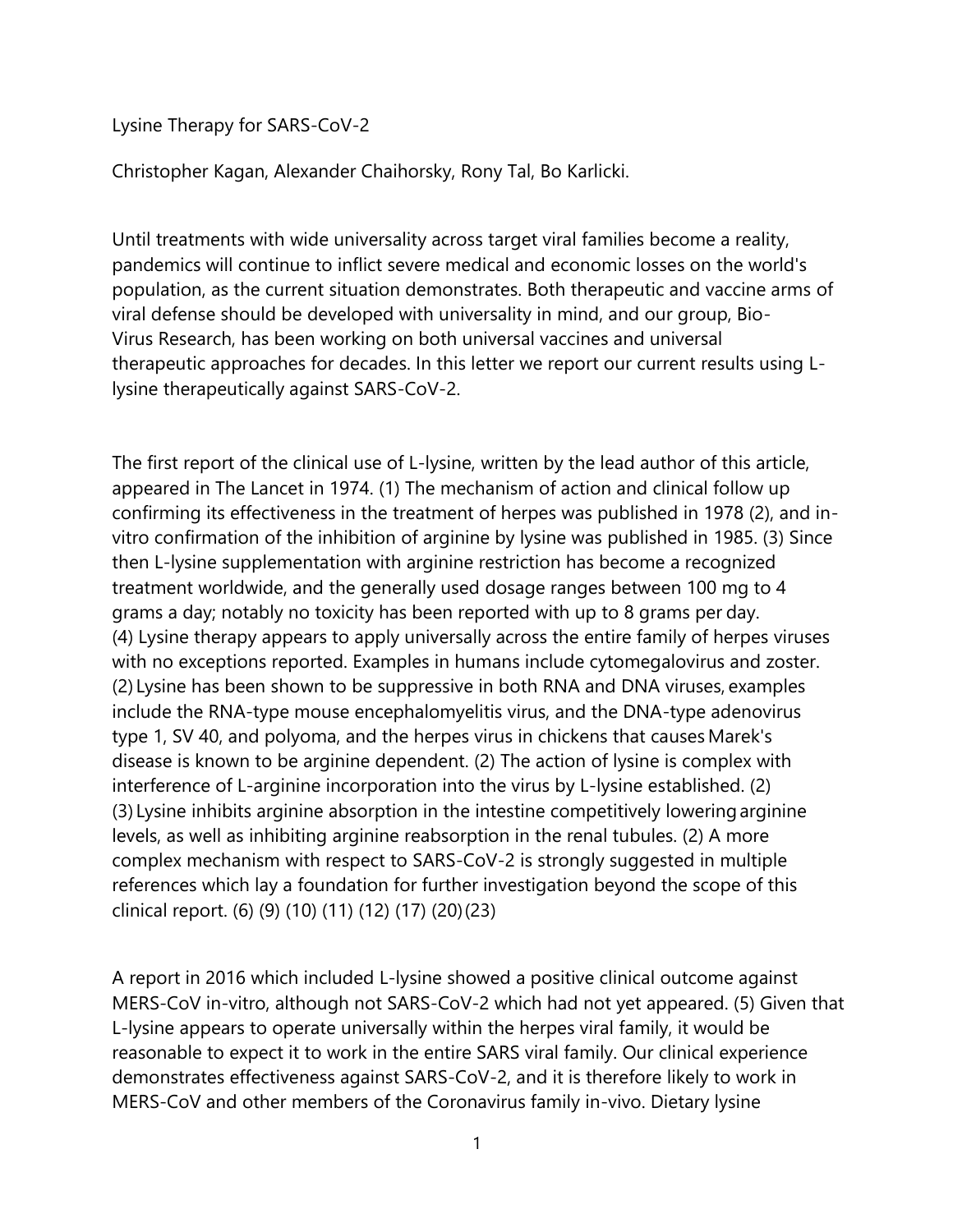Lysine Therapy for SARS-CoV-2         

Christopher Kagan, Alexander Chaihorsky, Rony Tal, Bo Karlicki.

Until treatments with wide universality across target viral families become a reality, pandemics will continue to inflict severe medical and economic losses on the world's population, as the current situation demonstrates. Both therapeutic and vaccine arms of viral defense should be developed with universality in mind, and our group, Bio-Virus Research, has been working on both universal vaccines and universal therapeutic approaches for decades. In this letter we report our current results using Llysine therapeutically against SARS-CoV-2.         

The first report of the clinical use of L-lysine, written by the lead author of this article, appeared in The Lancet in 1974. (1) The mechanism of action and clinical follow up confirming its effectiveness in the treatment of herpes was published in 1978 (2), and invitro confirmation of the inhibition of arginine by lysine was published in 1985. (3) Since then L-lysine supplementation with arginine restriction has become a recognized treatment worldwide, and the generally used dosage ranges between 100 mg to 4 grams a day; notably no toxicity has been reported with up to 8 grams per day. (4) Lysine therapy appears to apply universally across the entire family of herpes viruses with no exceptions reported. Examples in humans include cytomegalovirus and zoster. (2) Lysine has been shown to be suppressive in both RNA and DNA viruses, examples include the RNA-type mouse encephalomyelitis virus, and the DNA-type adenovirus type 1, SV 40, and polyoma, and the herpes virus in chickens that causes Marek's disease is known to be arginine dependent. (2) The action of lysine is complex with interference of L-arginine incorporation into the virus by L-lysine established. (2) (3) Lysine inhibits arginine absorption in the intestine competitively loweringarginine levels, as well as inhibiting arginine reabsorption in the renal tubules. (2) A more complex mechanism with respect to SARS-CoV-2 is strongly suggested in multiple references which lay a foundation for further investigation beyond the scope of this clinical report. (6) (9) (10) (11) (12) (17) (20)(23)       

A report in 2016 which included L-lysine showed a positive clinical outcome against MERS-CoV in-vitro, although not SARS-CoV-2 which had not yet appeared. (5) Given that L-lysine appears to operate universally within the herpes viral family, it would be reasonable to expect it to work in the entire SARS viral family. Our clinical experience demonstrates effectiveness against SARS-CoV-2, and it is therefore likely to work in MERS-CoV and other members of the Coronavirus family in-vivo. Dietary lysine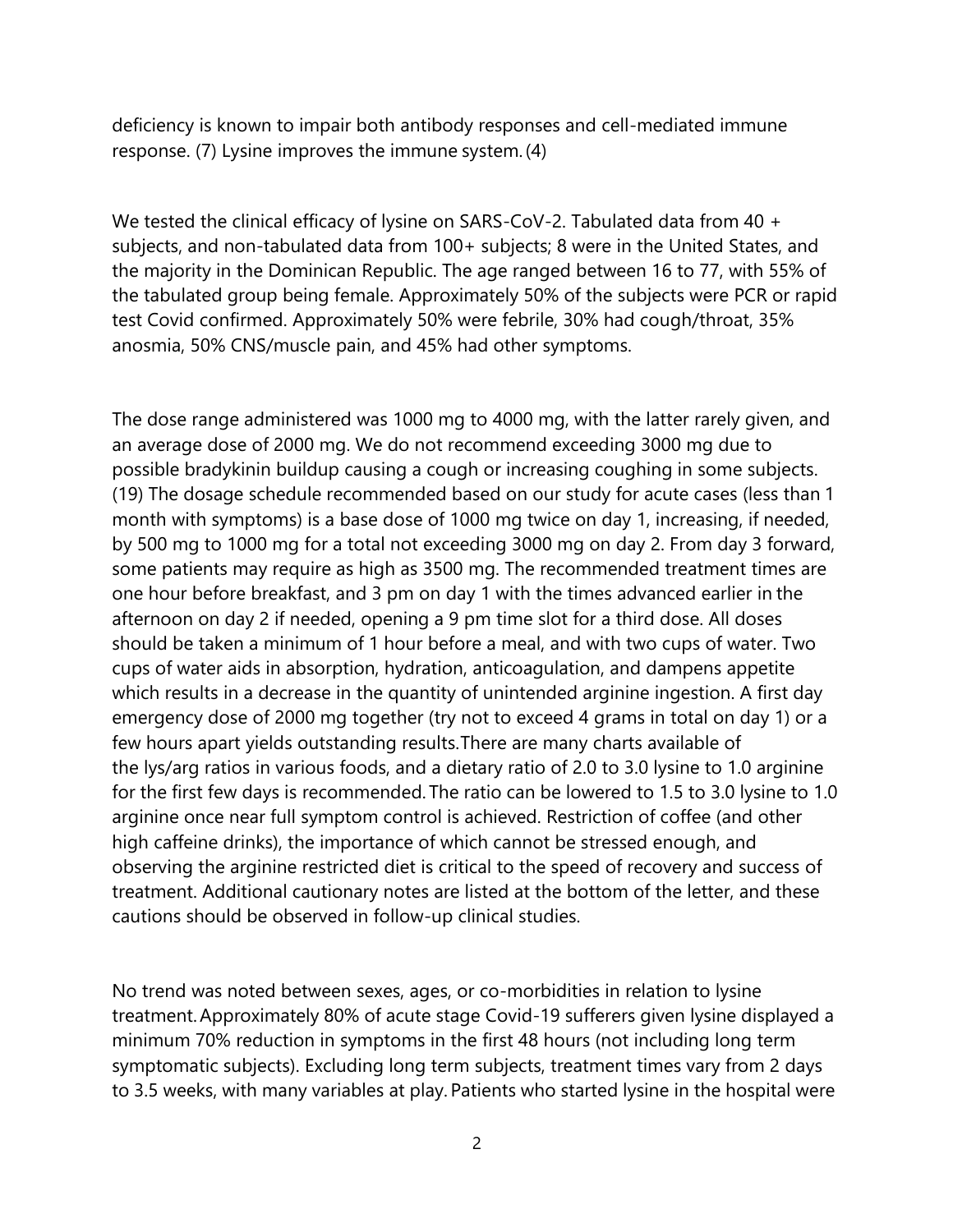deficiency is known to impair both antibody responses and cell-mediated immune response. (7) Lysine improves the immune system.(4)    

We tested the clinical efficacy of lysine on SARS-CoV-2. Tabulated data from 40 + subjects, and non-tabulated data from 100+ subjects; 8 were in the United States, and the majority in the Dominican Republic. The age ranged between 16 to 77, with 55% of the tabulated group being female. Approximately 50% of the subjects were PCR or rapid test Covid confirmed. Approximately 50% were febrile, 30% had cough/throat, 35% anosmia, 50% CNS/muscle pain, and 45% had other symptoms.         

The dose range administered was 1000 mg to 4000 mg, with the latter rarely given, and an average dose of 2000 mg. We do not recommend exceeding 3000 mg due to possible bradykinin buildup causing a cough or increasing coughing in some subjects. (19) The dosage schedule recommended based on our study for acute cases (less than 1 month with symptoms) is a base dose of 1000 mg twice on day 1, increasing, if needed, by 500 mg to 1000 mg for a total not exceeding 3000 mg on day 2. From day 3 forward, some patients may require as high as 3500 mg. The recommended treatment times are one hour before breakfast, and 3 pm on day 1 with the times advanced earlier in the afternoon on day 2 if needed, opening a 9 pm time slot for a third dose. All doses should be taken a minimum of 1 hour before a meal, and with two cups of water. Two cups of water aids in absorption, hydration, anticoagulation, and dampens appetite which results in a decrease in the quantity of unintended arginine ingestion. A first day emergency dose of 2000 mg together (try not to exceed 4 grams in total on day 1) or a few hours apart yields outstanding results.There are many charts available of the lys/arg ratios in various foods, and a dietary ratio of 2.0 to 3.0 lysine to 1.0 arginine for the first few days is recommended. The ratio can be lowered to 1.5 to 3.0 lysine to 1.0 arginine once near full symptom control is achieved. Restriction of coffee (and other high caffeine drinks), the importance of which cannot be stressed enough, and observing the arginine restricted diet is critical to the speed of recovery and success of treatment. Additional cautionary notes are listed at the bottom of the letter, and these cautions should be observed in follow-up clinical studies.        

No trend was noted between sexes, ages, or co-morbidities in relation to lysine treatment.Approximately 80% of acute stage Covid-19 sufferers given lysine displayed a minimum 70% reduction in symptoms in the first 48 hours (not including long term symptomatic subjects). Excluding long term subjects, treatment times vary from 2 days to 3.5 weeks, with many variables at play. Patients who started lysine in the hospital were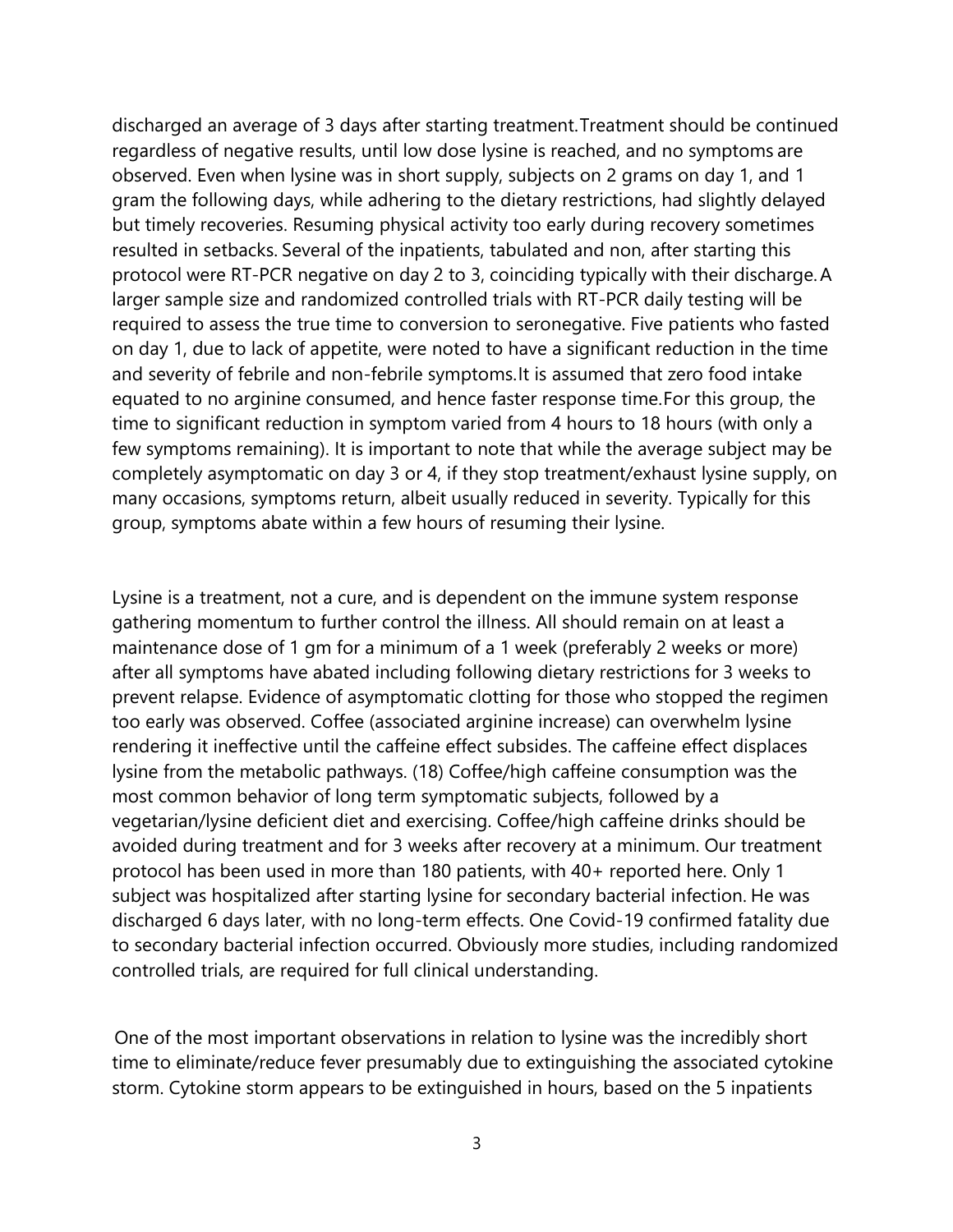discharged an average of 3 days after starting treatment.Treatment should be continued regardless of negative results, until low dose lysine is reached, and no symptoms are observed. Even when lysine was in short supply, subjects on 2 grams on day 1, and 1 gram the following days, while adhering to the dietary restrictions, had slightly delayed but timely recoveries. Resuming physical activity too early during recovery sometimes resulted in setbacks. Several of the inpatients, tabulated and non, after starting this protocol were RT-PCR negative on day 2 to 3, coinciding typically with their discharge.A larger sample size and randomized controlled trials with RT-PCR daily testing will be required to assess the true time to conversion to seronegative. Five patients who fasted on day 1, due to lack of appetite, were noted to have a significant reduction in the time and severity of febrile and non-febrile symptoms.It is assumed that zero food intake equated to no arginine consumed, and hence faster response time.For this group, the time to significant reduction in symptom varied from 4 hours to 18 hours (with only a few symptoms remaining). It is important to note that while the average subject may be completely asymptomatic on day 3 or 4, if they stop treatment/exhaust lysine supply, on many occasions, symptoms return, albeit usually reduced in severity. Typically for this group, symptoms abate within a few hours of resuming their lysine.         

Lysine is a treatment, not a cure, and is dependent on the immune system response gathering momentum to further control the illness. All should remain on at least a maintenance dose of 1 gm for a minimum of a 1 week (preferably 2 weeks or more) after all symptoms have abated including following dietary restrictions for 3 weeks to prevent relapse. Evidence of asymptomatic clotting for those who stopped the regimen too early was observed. Coffee (associated arginine increase) can overwhelm lysine rendering it ineffective until the caffeine effect subsides. The caffeine effect displaces lysine from the metabolic pathways. (18) Coffee/high caffeine consumption was the most common behavior of long term symptomatic subjects, followed by a vegetarian/lysine deficient diet and exercising. Coffee/high caffeine drinks should be avoided during treatment and for 3 weeks after recovery at a minimum. Our treatment protocol has been used in more than 180 patients, with 40+ reported here. Only 1 subject was hospitalized after starting lysine for secondary bacterial infection. He was discharged 6 days later, with no long-term effects. One Covid-19 confirmed fatality due to secondary bacterial infection occurred. Obviously more studies, including randomized controlled trials, are required for full clinical understanding.         

One of the most important observations in relation to lysine was the incredibly short time to eliminate/reduce fever presumably due to extinguishing the associated cytokine storm. Cytokine storm appears to be extinguished in hours, based on the 5 inpatients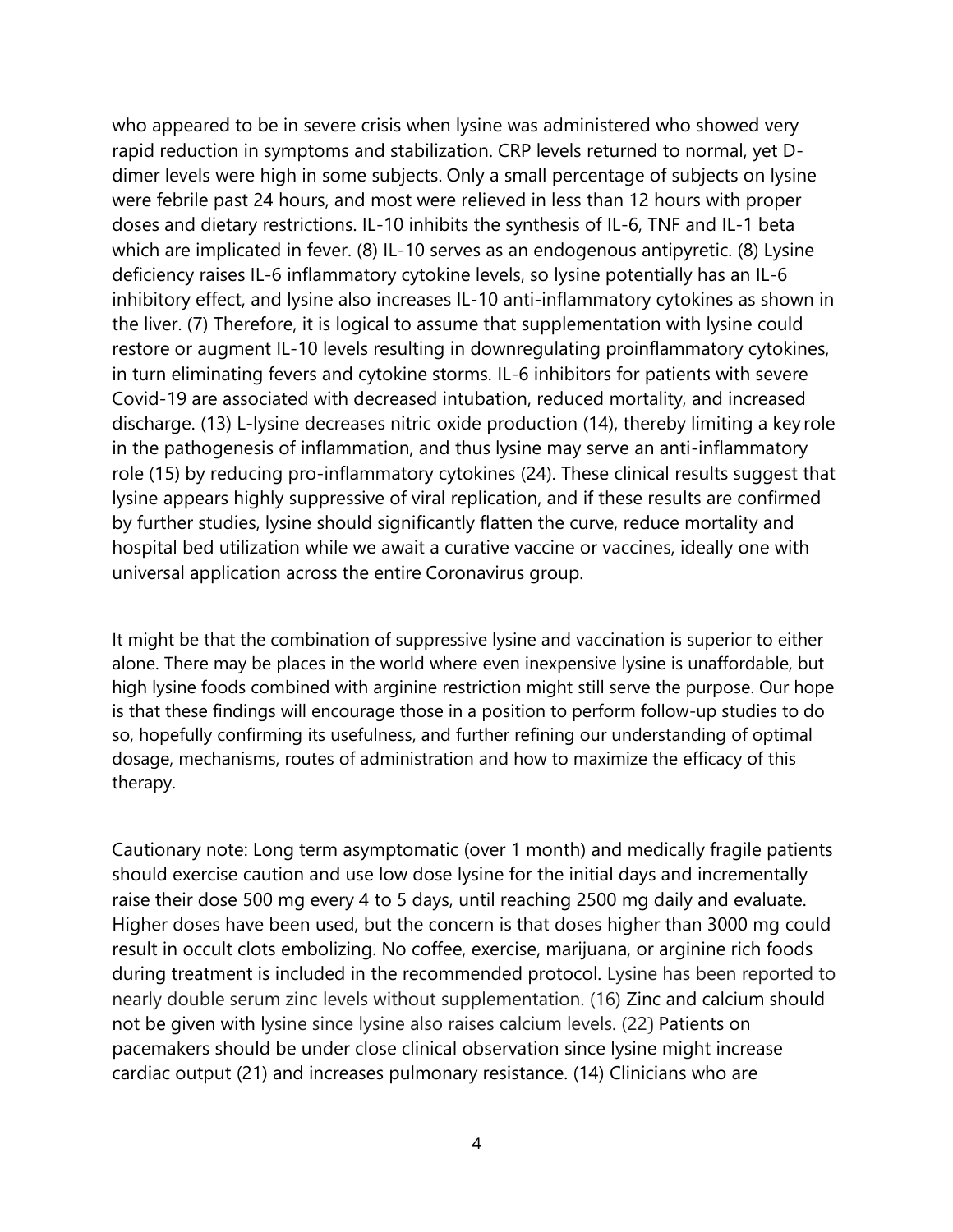who appeared to be in severe crisis when lysine was administered who showed very rapid reduction in symptoms and stabilization. CRP levels returned to normal, yet Ddimer levels were high in some subjects. Only a small percentage of subjects on lysine were febrile past 24 hours, and most were relieved in less than 12 hours with proper doses and dietary restrictions. IL-10 inhibits the synthesis of IL-6, TNF and IL-1 beta which are implicated in fever. (8) IL-10 serves as an endogenous antipyretic. (8) Lysine deficiency raises IL-6 inflammatory cytokine levels, so lysine potentially has an IL-6 inhibitory effect, and lysine also increases IL-10 anti-inflammatory cytokines as shown in the liver. (7) Therefore, it is logical to assume that supplementation with lysine could restore or augment IL-10 levels resulting in downregulating proinflammatory cytokines, in turn eliminating fevers and cytokine storms. IL-6 inhibitors for patients with severe Covid-19 are associated with decreased intubation, reduced mortality, and increased discharge. (13) L-lysine decreases nitric oxide production (14), thereby limiting a key role in the pathogenesis of inflammation, and thus lysine may serve an anti-inflammatory role (15) by reducing pro-inflammatory cytokines (24). These clinical results suggest that lysine appears highly suppressive of viral replication, and if these results are confirmed by further studies, lysine should significantly flatten the curve, reduce mortality and hospital bed utilization while we await a curative vaccine or vaccines, ideally one with universal application across the entire Coronavirus group.         

It might be that the combination of suppressive lysine and vaccination is superior to either alone. There may be places in the world where even inexpensive lysine is unaffordable, but high lysine foods combined with arginine restriction might still serve the purpose. Our hope is that these findings will encourage those in a position to perform follow-up studies to do so, hopefully confirming its usefulness, and further refining our understanding of optimal dosage, mechanisms, routes of administration and how to maximize the efficacy of this therapy.

Cautionary note: Long term asymptomatic (over 1 month) and medically fragile patients should exercise caution and use low dose lysine for the initial days and incrementally raise their dose 500 mg every 4 to 5 days, until reaching 2500 mg daily and evaluate. Higher doses have been used, but the concern is that doses higher than 3000 mg could result in occult clots embolizing. No coffee, exercise, marijuana, or arginine rich foods during treatment is included in the recommended protocol. Lysine has been reported to nearly double serum zinc levels without supplementation. (16) Zinc and calcium should not be given with lysine since lysine also raises calcium levels. (22) Patients on pacemakers should be under close clinical observation since lysine might increase cardiac output (21) and increases pulmonary resistance. (14) Clinicians who are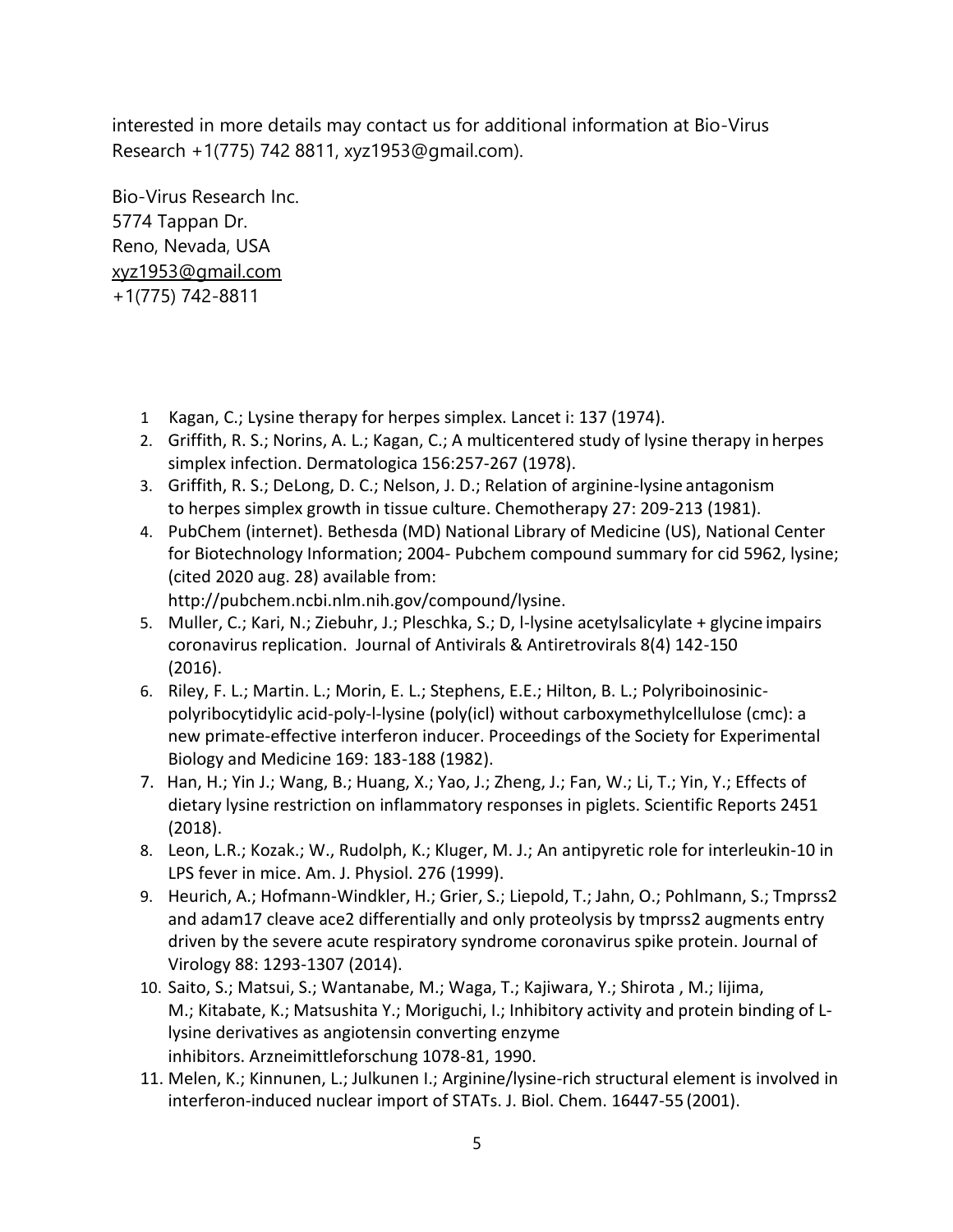interested in more details may contact us for additional information at Bio-Virus Research +1(775) 742 8811, xyz1953@gmail.com).         

Bio-Virus Research Inc. 5774 Tappan Dr. Reno, Nevada, USA [xyz1953@gmail.com](mailto:xyz1953@gmail.com) +1(775) 742-8811

- 1  Kagan, C.; Lysine therapy for herpes simplex. Lancet i: 137 (1974).
- 2. Griffith, R. S.; Norins, A. L.; Kagan, C.; A multicentered study of lysine therapy in herpes simplex infection. Dermatologica 156:257-267 (1978).
- 3. Griffith, R. S.; DeLong, D. C.; Nelson, J. D.; Relation of arginine-lysine antagonism to herpes simplex growth in tissue culture. Chemotherapy 27: 209-213 (1981).
- 4. PubChem (internet). Bethesda (MD) National Library of Medicine (US), National Center for Biotechnology Information; 2004- Pubchem compound summary for cid 5962, lysine; (cited 2020 aug. 28) available from: [http://pubchem.ncbi.nlm.nih.gov/compound/lysine.](http://pubchem.ncbi.nlm.nih.gov/compound/lysine)
- 5. Muller, C.; Kari, N.; Ziebuhr, J.; Pleschka, S.; D, I-lysine acetylsalicylate + glycine impairs coronavirus replication.  Journal of Antivirals & Antiretrovirals 8(4) 142-150 (2016).
- 6. Riley, F. L.; Martin. L.; Morin, E. L.; Stephens, E.E.; Hilton, B. L.; Polyriboinosinicpolyribocytidylic acid-poly-l-lysine (poly(icl) without carboxymethylcellulose (cmc): a new primate-effective interferon inducer. Proceedings of the Society for Experimental Biology and Medicine 169: 183-188 (1982).
- 7. Han, H.; Yin J.; Wang, B.; Huang, X.; Yao, J.; Zheng, J.; Fan, W.; Li, T.; Yin, Y.; Effects of dietary lysine restriction on inflammatory responses in piglets. Scientific Reports 2451 (2018).
- 8. Leon, L.R.; Kozak.; W., Rudolph, K.; Kluger, M. J.; An antipyretic role for interleukin-10 in LPS fever in mice. Am. J. Physiol. 276 (1999).
- 9. Heurich, A.; Hofmann-Windkler, H.; Grier, S.; Liepold, T.; Jahn, O.; Pohlmann, S.; Tmprss2 and adam17 cleave ace2 differentially and only proteolysis by tmprss2 augments entry driven by the severe acute respiratory syndrome coronavirus spike protein. Journal of Virology 88: 1293-1307 (2014).
- 10. Saito, S.; Matsui, S.; Wantanabe, M.; Waga, T.; Kajiwara, Y.; Shirota , M.; Iijima, M.; Kitabate, K.; Matsushita Y.; Moriguchi, I.; Inhibitory activity and protein binding of Llysine derivatives as angiotensin converting enzyme inhibitors. Arzneimittleforschung 1078-81, 1990.
- 11. Melen, K.; Kinnunen, L.; Julkunen I.; Arginine/lysine-rich structural element is involved in interferon-induced nuclear import of STATs. J. Biol. Chem. 16447-55 (2001).